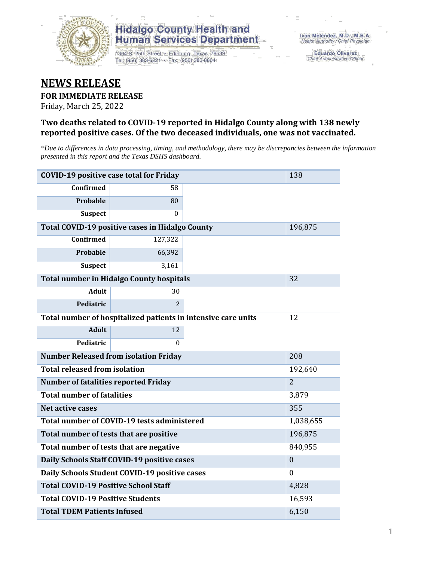

## **Hidalgo County Health and Human Services Department**

1304 S. 25th Street · Edinburg, Texas 78539 Tel: (956) 383-6221 · Fax: (956) 383-8864

**Eduardo Olivarez** Chief Administrative Officer

# **NEWS RELEASE**

### **FOR IMMEDIATE RELEASE**

Friday, March 25, 2022

### **Two deaths related to COVID-19 reported in Hidalgo County along with 138 newly reported positive cases. Of the two deceased individuals, one was not vaccinated.**

*\*Due to differences in data processing, timing, and methodology, there may be discrepancies between the information presented in this report and the Texas DSHS dashboard.*

| <b>COVID-19 positive case total for Friday</b>                | 138                                             |         |         |
|---------------------------------------------------------------|-------------------------------------------------|---------|---------|
| <b>Confirmed</b>                                              | 58                                              |         |         |
| Probable                                                      | 80                                              |         |         |
| <b>Suspect</b>                                                | $\Omega$                                        |         |         |
|                                                               | Total COVID-19 positive cases in Hidalgo County |         | 196,875 |
| <b>Confirmed</b>                                              | 127,322                                         |         |         |
| Probable                                                      | 66,392                                          |         |         |
| <b>Suspect</b>                                                | 3,161                                           |         |         |
| <b>Total number in Hidalgo County hospitals</b>               |                                                 | 32      |         |
| <b>Adult</b>                                                  | 30                                              |         |         |
| Pediatric                                                     | $\overline{2}$                                  |         |         |
| Total number of hospitalized patients in intensive care units | 12                                              |         |         |
| <b>Adult</b>                                                  | 12                                              |         |         |
| Pediatric                                                     | 0                                               |         |         |
| <b>Number Released from isolation Friday</b>                  |                                                 | 208     |         |
| <b>Total released from isolation</b>                          |                                                 | 192,640 |         |
| <b>Number of fatalities reported Friday</b>                   | $\overline{2}$                                  |         |         |
| <b>Total number of fatalities</b>                             | 3,879                                           |         |         |
| Net active cases                                              | 355                                             |         |         |
| Total number of COVID-19 tests administered                   | 1,038,655                                       |         |         |
| Total number of tests that are positive                       | 196,875                                         |         |         |
| Total number of tests that are negative                       | 840,955                                         |         |         |
| Daily Schools Staff COVID-19 positive cases                   | $\mathbf{0}$                                    |         |         |
| Daily Schools Student COVID-19 positive cases                 | $\Omega$                                        |         |         |
| <b>Total COVID-19 Positive School Staff</b>                   | 4,828                                           |         |         |
| <b>Total COVID-19 Positive Students</b>                       | 16,593                                          |         |         |
| <b>Total TDEM Patients Infused</b>                            | 6,150                                           |         |         |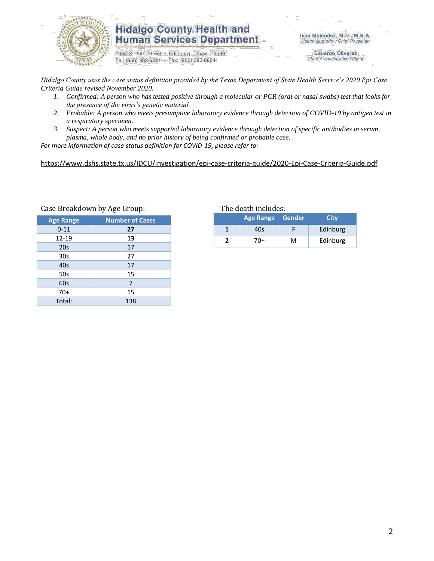

### **Hidalgo County Health and Human Services Department**

1304 S. 25th Street · Edinburg, Texas 78539 Tel: (956) 383-6221 · Fax: (956) 383-8864

Iván Meléndez, M.D., M.B.A. Health Authority / Chief Physician

> **Eduardo Olivarez** Chief Administrative Officer

*Hidalgo County uses the case status definition provided by the Texas Department of State Health Service's 2020 Epi Case Criteria Guide revised November 2020.*

- *1. Confirmed: A person who has tested positive through a molecular or PCR (oral or nasal swabs) test that looks for the presence of the virus's genetic material.*
- *2. Probable: A person who meets presumptive laboratory evidence through detection of COVID-19 by antigen test in a respiratory specimen.*
- *3. Suspect: A person who meets supported laboratory evidence through detection of specific antibodies in serum, plasma, whole body, and no prior history of being confirmed or probable case.*

*For more information of case status definition for COVID-19, please refer to:*

<https://www.dshs.state.tx.us/IDCU/investigation/epi-case-criteria-guide/2020-Epi-Case-Criteria-Guide.pdf>

|                  | ں ۔                    |
|------------------|------------------------|
| <b>Age Range</b> | <b>Number of Cases</b> |
| $0 - 11$         | 27                     |
| $12 - 19$        | 13                     |
| 20s              | 17                     |
| 30s              | 27                     |
| 40s              | 17                     |
| 50s              | 15                     |
| 60s              | 7                      |
| $70+$            | 15                     |
| Total:           | 138                    |

#### Case Breakdown by Age Group: The death includes:

| Age Range Gender |   | City     |
|------------------|---|----------|
| 40s              |   | Edinburg |
| 70+              | м | Edinburg |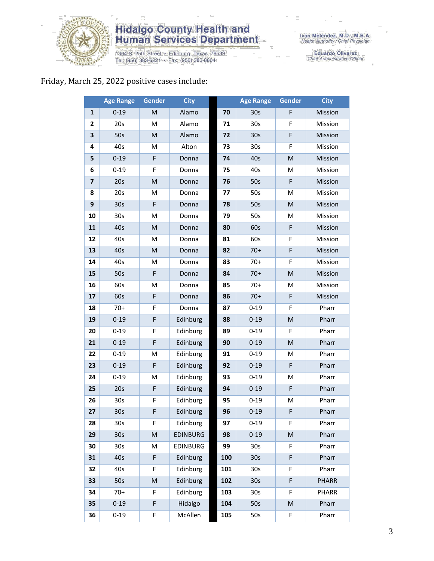

# **Hidalgo County Health and<br>Human Services Department**

1304 S. 25th Street • Edinburg, Texas 78539<br>Tel: (956) 383-6221 • Fax: (956) 383-8864

Eduardo Olivarez<br>Chief Administrative Officer

# Friday, March 25, 2022 positive cases include:

|                         | <b>Age Range</b> | <b>Gender</b>                                                                                              | <b>City</b>     |     | <b>Age Range</b> | Gender                                                                                                     | <b>City</b>  |
|-------------------------|------------------|------------------------------------------------------------------------------------------------------------|-----------------|-----|------------------|------------------------------------------------------------------------------------------------------------|--------------|
| $\mathbf{1}$            | $0 - 19$         | ${\sf M}$                                                                                                  | Alamo           | 70  | 30 <sub>s</sub>  | F                                                                                                          | Mission      |
| $\mathbf{2}$            | 20s              | M                                                                                                          | Alamo           | 71  | 30s              | F                                                                                                          | Mission      |
| 3                       | 50s              | M                                                                                                          | Alamo           | 72  | 30 <sub>s</sub>  | F                                                                                                          | Mission      |
| 4                       | 40s              | М                                                                                                          | Alton           | 73  | 30s              | F                                                                                                          | Mission      |
| 5                       | $0 - 19$         | F                                                                                                          | Donna           | 74  | 40s              | ${\sf M}$                                                                                                  | Mission      |
| 6                       | $0 - 19$         | F                                                                                                          | Donna           | 75  | 40s              | M                                                                                                          | Mission      |
| $\overline{\mathbf{z}}$ | 20s              | $\mathsf{M}% _{T}=\mathsf{M}_{T}\!\left( a,b\right) ,\ \mathsf{M}_{T}=\mathsf{M}_{T}\!\left( a,b\right) ,$ | Donna           | 76  | 50s              | $\mathsf F$                                                                                                | Mission      |
| 8                       | 20s              | M                                                                                                          | Donna           | 77  | 50s              | M                                                                                                          | Mission      |
| 9                       | 30 <sub>s</sub>  | F                                                                                                          | Donna           | 78  | 50s              | $\mathsf{M}% _{T}=\mathsf{M}_{T}\!\left( a,b\right) ,\ \mathsf{M}_{T}=\mathsf{M}_{T}\!\left( a,b\right) ,$ | Mission      |
| 10                      | 30 <sub>s</sub>  | M                                                                                                          | Donna           | 79  | 50s              | M                                                                                                          | Mission      |
| 11                      | 40s              | M                                                                                                          | Donna           | 80  | 60s              | F                                                                                                          | Mission      |
| 12                      | 40s              | M                                                                                                          | Donna           | 81  | 60s              | F                                                                                                          | Mission      |
| 13                      | 40s              | $\mathsf{M}% _{T}=\mathsf{M}_{T}\!\left( a,b\right) ,\ \mathsf{M}_{T}=\mathsf{M}_{T}\!\left( a,b\right) ,$ | Donna           | 82  | $70+$            | F                                                                                                          | Mission      |
| 14                      | 40s              | M                                                                                                          | Donna           | 83  | $70+$            | F                                                                                                          | Mission      |
| 15                      | 50s              | F                                                                                                          | Donna           | 84  | $70+$            | $\mathsf{M}% _{T}=\mathsf{M}_{T}\!\left( a,b\right) ,\ \mathsf{M}_{T}=\mathsf{M}_{T}\!\left( a,b\right) ,$ | Mission      |
| 16                      | 60s              | M                                                                                                          | Donna           | 85  | $70+$            | M                                                                                                          | Mission      |
| 17                      | 60s              | F                                                                                                          | Donna           | 86  | $70+$            | $\mathsf F$                                                                                                | Mission      |
| 18                      | $70+$            | F                                                                                                          | Donna           | 87  | $0 - 19$         | F                                                                                                          | Pharr        |
| 19                      | $0 - 19$         | F                                                                                                          | Edinburg        | 88  | $0 - 19$         | ${\sf M}$                                                                                                  | Pharr        |
| 20                      | $0 - 19$         | F                                                                                                          | Edinburg        | 89  | $0 - 19$         | F                                                                                                          | Pharr        |
| 21                      | $0 - 19$         | F                                                                                                          | Edinburg        | 90  | $0 - 19$         | $\mathsf{M}% _{T}=\mathsf{M}_{T}\!\left( a,b\right) ,\ \mathsf{M}_{T}=\mathsf{M}_{T}\!\left( a,b\right) ,$ | Pharr        |
| 22                      | $0 - 19$         | M                                                                                                          | Edinburg        | 91  | $0 - 19$         | M                                                                                                          | Pharr        |
| 23                      | $0 - 19$         | F                                                                                                          | Edinburg        | 92  | $0 - 19$         | F                                                                                                          | Pharr        |
| 24                      | $0 - 19$         | M                                                                                                          | Edinburg        | 93  | $0 - 19$         | M                                                                                                          | Pharr        |
| 25                      | 20s              | F                                                                                                          | Edinburg        | 94  | $0 - 19$         | F                                                                                                          | Pharr        |
| 26                      | 30s              | F                                                                                                          | Edinburg        | 95  | $0 - 19$         | M                                                                                                          | Pharr        |
| 27                      | 30 <sub>s</sub>  | F                                                                                                          | Edinburg        | 96  | $0 - 19$         | F                                                                                                          | Pharr        |
| 28                      | 30s              | F.                                                                                                         | Edinburg        | 97  | $0 - 19$         | F                                                                                                          | Pharr        |
| 29                      | 30 <sub>s</sub>  | M                                                                                                          | <b>EDINBURG</b> | 98  | $0 - 19$         | ${\sf M}$                                                                                                  | Pharr        |
| 30                      | 30s              | M                                                                                                          | EDINBURG        | 99  | 30 <sub>s</sub>  | F                                                                                                          | Pharr        |
| 31                      | 40s              | F                                                                                                          | Edinburg        | 100 | 30 <sub>s</sub>  | F                                                                                                          | Pharr        |
| 32                      | 40s              | F                                                                                                          | Edinburg        | 101 | 30s              | F                                                                                                          | Pharr        |
| 33                      | 50s              | M                                                                                                          | Edinburg        | 102 | 30 <sub>s</sub>  | F                                                                                                          | <b>PHARR</b> |
| 34                      | $70+$            | F                                                                                                          | Edinburg        | 103 | 30s              | F                                                                                                          | <b>PHARR</b> |
| 35                      | $0 - 19$         | F                                                                                                          | Hidalgo         | 104 | 50s              | ${\sf M}$                                                                                                  | Pharr        |
| 36                      | $0 - 19$         | F                                                                                                          | McAllen         | 105 | 50s              | F                                                                                                          | Pharr        |